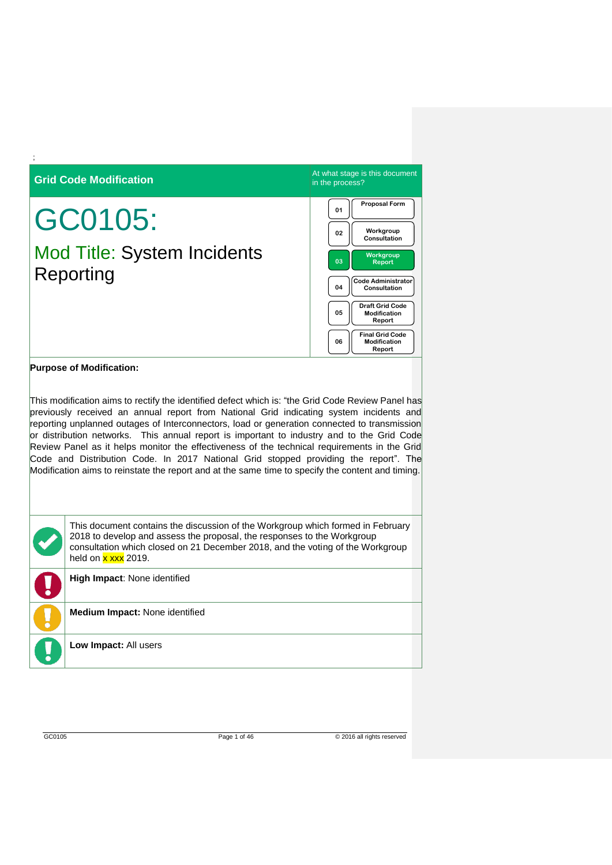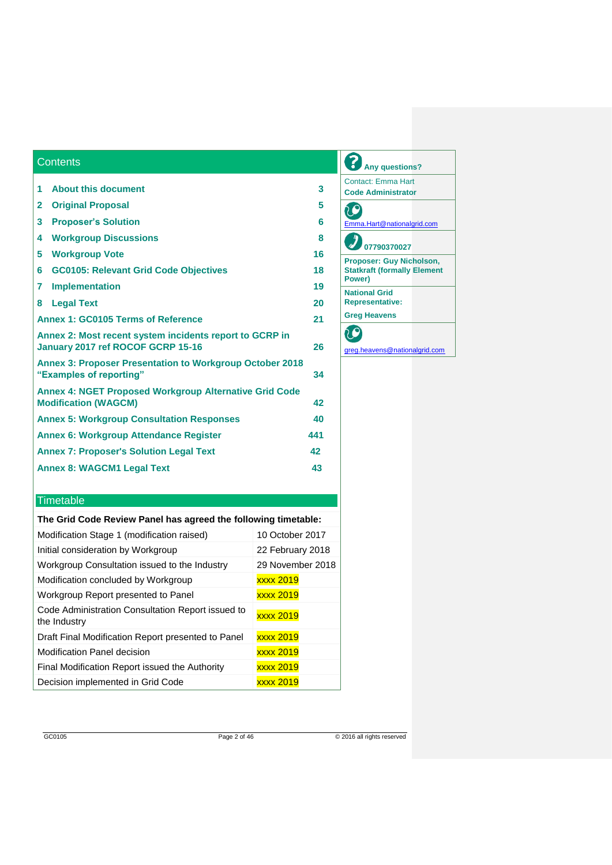| <b>Contents</b>                                                                              |     |
|----------------------------------------------------------------------------------------------|-----|
| <b>About this document</b><br>1                                                              | 3   |
| $\mathbf{2}$                                                                                 | 5   |
| <b>Original Proposal</b>                                                                     |     |
| 3<br><b>Proposer's Solution</b>                                                              | 6   |
| <b>Workgroup Discussions</b><br>4                                                            | 8   |
| 5<br><b>Workgroup Vote</b>                                                                   | 16  |
| <b>GC0105: Relevant Grid Code Objectives</b><br>6                                            | 18  |
| <b>Implementation</b><br>7                                                                   | 19  |
| 8<br><b>Legal Text</b>                                                                       | 20  |
| Annex 1: GC0105 Terms of Reference                                                           | 21  |
| Annex 2: Most recent system incidents report to GCRP in<br>January 2017 ref ROCOF GCRP 15-16 | 26  |
| <b>Annex 3: Proposer Presentation to Workgroup October 2018</b><br>"Examples of reporting"   | 34  |
| <b>Annex 4: NGET Proposed Workgroup Alternative Grid Code</b><br><b>Modification (WAGCM)</b> | 42  |
| <b>Annex 5: Workgroup Consultation Responses</b>                                             | 40  |
| <b>Annex 6: Workgroup Attendance Register</b>                                                | 441 |
| <b>Annex 7: Proposer's Solution Legal Text</b>                                               | 42  |
| <b>Annex 8: WAGCM1 Legal Text</b>                                                            | 43  |
|                                                                                              |     |

# **Timetable**

| The Grid Code Review Panel has agreed the following timetable: |  |  |  |  |  |  |  |
|----------------------------------------------------------------|--|--|--|--|--|--|--|
| 10 October 2017                                                |  |  |  |  |  |  |  |
| 22 February 2018                                               |  |  |  |  |  |  |  |
| 29 November 2018                                               |  |  |  |  |  |  |  |
| xxxx 2019                                                      |  |  |  |  |  |  |  |
| <b>xxxx 2019</b>                                               |  |  |  |  |  |  |  |
| <b>xxxx 2019</b>                                               |  |  |  |  |  |  |  |
| <b>xxxx 2019</b>                                               |  |  |  |  |  |  |  |
| <b>xxxx 2019</b>                                               |  |  |  |  |  |  |  |
| <b>xxxx 2019</b>                                               |  |  |  |  |  |  |  |
| <b>xxxx 2019</b>                                               |  |  |  |  |  |  |  |
|                                                                |  |  |  |  |  |  |  |

# **Any questions?** Contact: Emma Hart **Code Administrator** CO [Emma.Hart@nationalgrid.com](mailto:Emma.Hart@nationalgrid.com) **07790370027 Proposer: Guy Nicholson, Statkraft (formally Element Power) National Grid Representative: Greg Heavens**  $\mathbb{C}$ [greg.heavens@nationalgrid.com](mailto:greg.heavens@nationalgrid.com)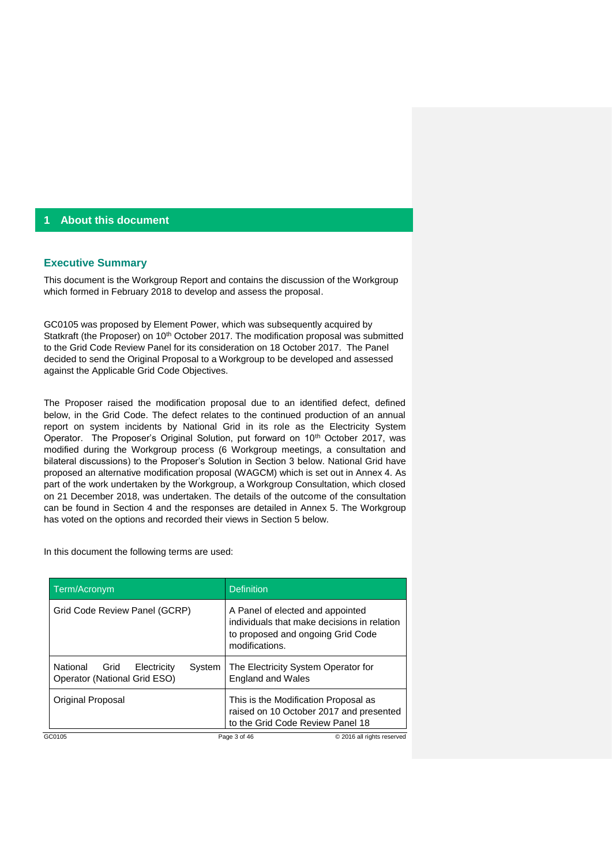## **1 About this document**

#### **Executive Summary**

This document is the Workgroup Report and contains the discussion of the Workgroup which formed in February 2018 to develop and assess the proposal.

GC0105 was proposed by Element Power, which was subsequently acquired by Statkraft (the Proposer) on 10<sup>th</sup> October 2017. The modification proposal was submitted to the Grid Code Review Panel for its consideration on 18 October 2017. The Panel decided to send the Original Proposal to a Workgroup to be developed and assessed against the Applicable Grid Code Objectives.

The Proposer raised the modification proposal due to an identified defect, defined below, in the Grid Code. The defect relates to the continued production of an annual report on system incidents by National Grid in its role as the Electricity System Operator. The Proposer's Original Solution, put forward on 10<sup>th</sup> October 2017, was modified during the Workgroup process (6 Workgroup meetings, a consultation and bilateral discussions) to the Proposer's Solution in Section 3 below. National Grid have proposed an alternative modification proposal (WAGCM) which is set out in Annex 4. As part of the work undertaken by the Workgroup, a Workgroup Consultation, which closed on 21 December 2018, was undertaken. The details of the outcome of the consultation can be found in Section 4 and the responses are detailed in Annex 5. The Workgroup has voted on the options and recorded their views in Section 5 below.

In this document the following terms are used:

| Term/Acronym                                                              | <b>Definition</b>                                                                                                                      |  |  |  |  |
|---------------------------------------------------------------------------|----------------------------------------------------------------------------------------------------------------------------------------|--|--|--|--|
| Grid Code Review Panel (GCRP)                                             | A Panel of elected and appointed<br>individuals that make decisions in relation<br>to proposed and ongoing Grid Code<br>modifications. |  |  |  |  |
| National<br>Grid<br>Electricity<br>System<br>Operator (National Grid ESO) | The Electricity System Operator for<br><b>England and Wales</b>                                                                        |  |  |  |  |
| Original Proposal                                                         | This is the Modification Proposal as<br>raised on 10 October 2017 and presented<br>to the Grid Code Review Panel 18                    |  |  |  |  |
| GC0105                                                                    | Page 3 of 46<br>© 2016 all rights reserved                                                                                             |  |  |  |  |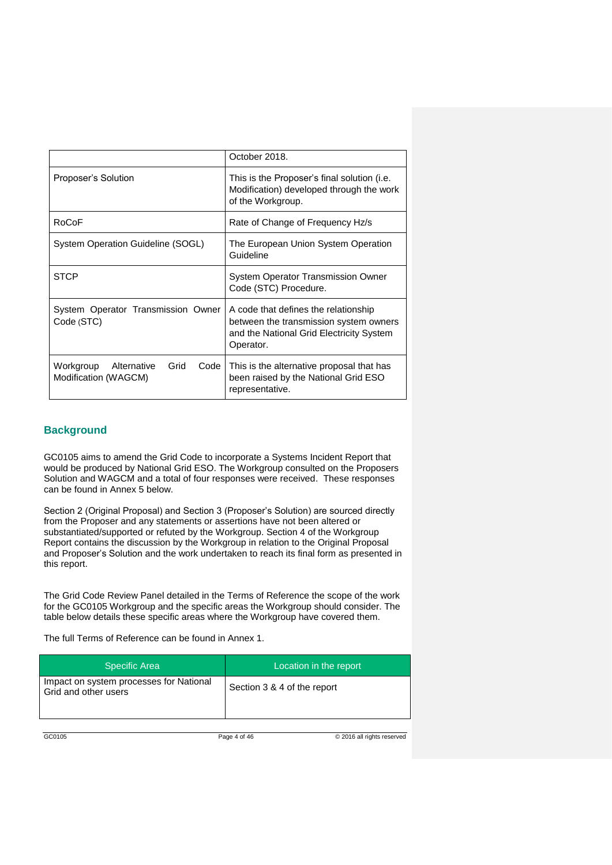|                                                                  | October 2018.                                                                                                                           |  |  |  |  |
|------------------------------------------------------------------|-----------------------------------------------------------------------------------------------------------------------------------------|--|--|--|--|
| Proposer's Solution                                              | This is the Proposer's final solution (i.e.<br>Modification) developed through the work<br>of the Workgroup.                            |  |  |  |  |
| RoCoF                                                            | Rate of Change of Frequency Hz/s                                                                                                        |  |  |  |  |
| System Operation Guideline (SOGL)                                | The European Union System Operation<br>Guideline                                                                                        |  |  |  |  |
| <b>STCP</b>                                                      | <b>System Operator Transmission Owner</b><br>Code (STC) Procedure.                                                                      |  |  |  |  |
| System Operator Transmission Owner<br>Code (STC)                 | A code that defines the relationship<br>between the transmission system owners<br>and the National Grid Electricity System<br>Operator. |  |  |  |  |
| Grid<br>Workgroup<br>Alternative<br>Code<br>Modification (WAGCM) | This is the alternative proposal that has<br>been raised by the National Grid ESO<br>representative.                                    |  |  |  |  |

### **Background**

GC0105 aims to amend the Grid Code to incorporate a Systems Incident Report that would be produced by National Grid ESO. The Workgroup consulted on the Proposers Solution and WAGCM and a total of four responses were received. These responses can be found in Annex 5 below.

Section 2 (Original Proposal) and Section 3 (Proposer's Solution) are sourced directly from the Proposer and any statements or assertions have not been altered or substantiated/supported or refuted by the Workgroup. Section 4 of the Workgroup Report contains the discussion by the Workgroup in relation to the Original Proposal and Proposer's Solution and the work undertaken to reach its final form as presented in this report.

The Grid Code Review Panel detailed in the Terms of Reference the scope of the work for the GC0105 Workgroup and the specific areas the Workgroup should consider. The table below details these specific areas where the Workgroup have covered them.

The full Terms of Reference can be found in Annex 1.

| <b>Specific Area</b>                                            | Location in the report      |
|-----------------------------------------------------------------|-----------------------------|
| Impact on system processes for National<br>Grid and other users | Section 3 & 4 of the report |

GC0105 **Page 4 of 46** © 2016 all rights reserved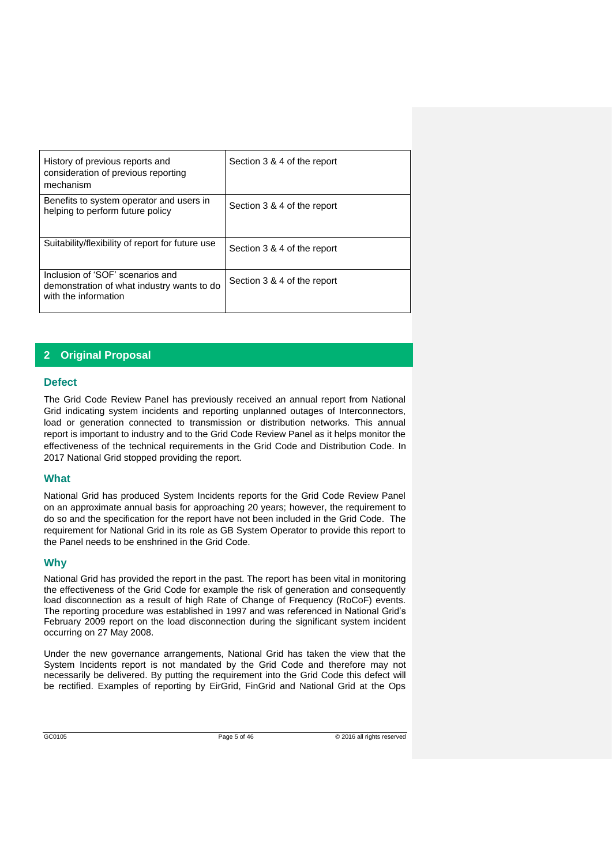| History of previous reports and<br>consideration of previous reporting<br>mechanism                    | Section 3 & 4 of the report |
|--------------------------------------------------------------------------------------------------------|-----------------------------|
| Benefits to system operator and users in<br>helping to perform future policy                           | Section 3 & 4 of the report |
| Suitability/flexibility of report for future use                                                       | Section 3 & 4 of the report |
| Inclusion of 'SOF' scenarios and<br>demonstration of what industry wants to do<br>with the information | Section 3 & 4 of the report |

# **2 Original Proposal**

#### **Defect**

The Grid Code Review Panel has previously received an annual report from National Grid indicating system incidents and reporting unplanned outages of Interconnectors, load or generation connected to transmission or distribution networks. This annual report is important to industry and to the Grid Code Review Panel as it helps monitor the effectiveness of the technical requirements in the Grid Code and Distribution Code. In 2017 National Grid stopped providing the report.

#### **What**

National Grid has produced System Incidents reports for the Grid Code Review Panel on an approximate annual basis for approaching 20 years; however, the requirement to do so and the specification for the report have not been included in the Grid Code. The requirement for National Grid in its role as GB System Operator to provide this report to the Panel needs to be enshrined in the Grid Code.

## **Why**

National Grid has provided the report in the past. The report has been vital in monitoring the effectiveness of the Grid Code for example the risk of generation and consequently load disconnection as a result of high Rate of Change of Frequency (RoCoF) events. The reporting procedure was established in 1997 and was referenced in National Grid's February 2009 report on the load disconnection during the significant system incident occurring on 27 May 2008.

Under the new governance arrangements, National Grid has taken the view that the System Incidents report is not mandated by the Grid Code and therefore may not necessarily be delivered. By putting the requirement into the Grid Code this defect will be rectified. Examples of reporting by EirGrid, FinGrid and National Grid at the Ops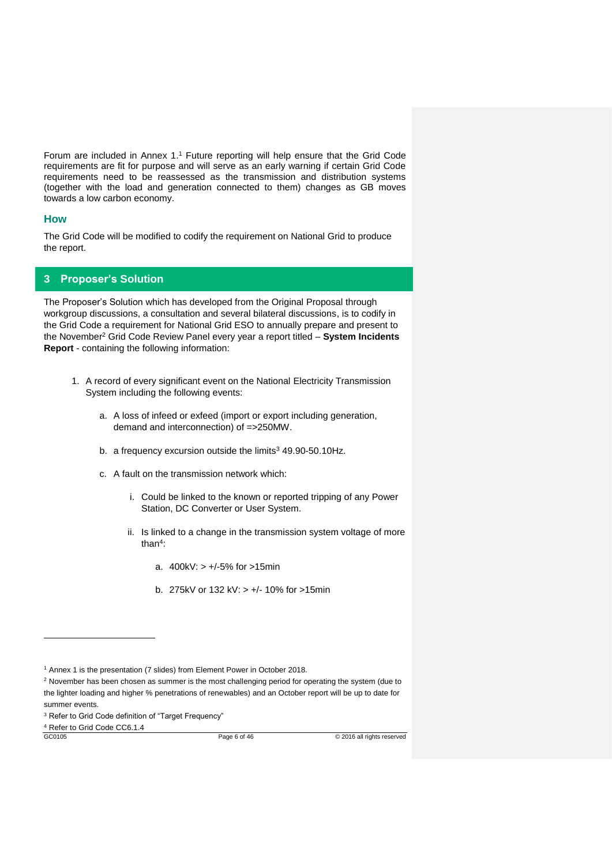Forum are included in Annex 1.<sup>1</sup> Future reporting will help ensure that the Grid Code requirements are fit for purpose and will serve as an early warning if certain Grid Code requirements need to be reassessed as the transmission and distribution systems (together with the load and generation connected to them) changes as GB moves towards a low carbon economy.

#### **How**

The Grid Code will be modified to codify the requirement on National Grid to produce the report.

## **3 Proposer's Solution**

The Proposer's Solution which has developed from the Original Proposal through workgroup discussions, a consultation and several bilateral discussions, is to codify in the Grid Code a requirement for National Grid ESO to annually prepare and present to the November<sup>2</sup> Grid Code Review Panel every year a report titled – **System Incidents Report** - containing the following information:

- 1. A record of every significant event on the National Electricity Transmission System including the following events:
	- a. A loss of infeed or exfeed (import or export including generation, demand and interconnection) of =>250MW.
	- b. a frequency excursion outside the limits<sup>3</sup> 49.90-50.10Hz.
	- c. A fault on the transmission network which:
		- i. Could be linked to the known or reported tripping of any Power Station, DC Converter or User System.
		- ii. Is linked to a change in the transmission system voltage of more than<sup>4</sup> :
			- a. 400kV: > +/-5% for >15min
			- b. 275kV or 132 kV: > +/- 10% for >15min

<sup>4</sup> Refer to Grid Code CC6.1.4

-

<sup>1</sup> Annex 1 is the presentation (7 slides) from Element Power in October 2018.

<sup>&</sup>lt;sup>2</sup> November has been chosen as summer is the most challenging period for operating the system (due to the lighter loading and higher % penetrations of renewables) and an October report will be up to date for summer events.

<sup>&</sup>lt;sup>3</sup> Refer to Grid Code definition of "Target Frequency"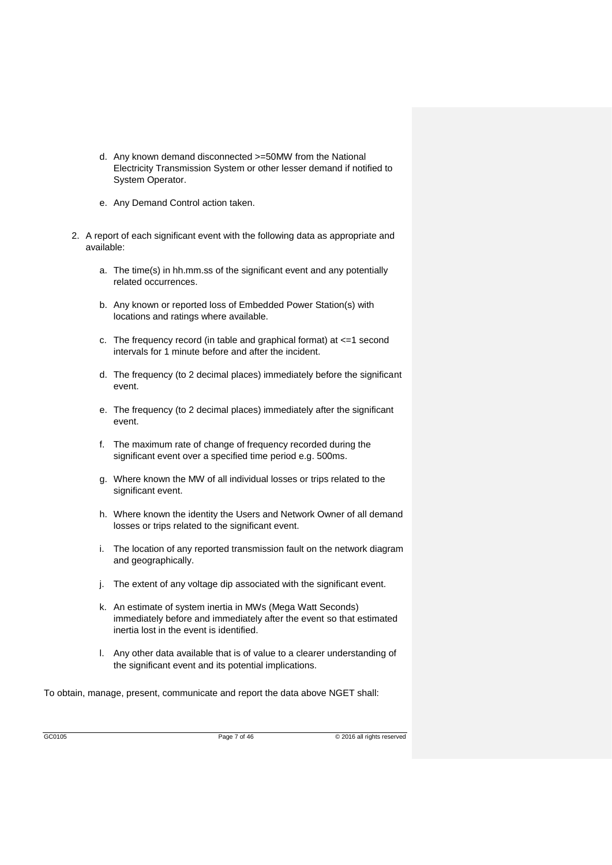- d. Any known demand disconnected >=50MW from the National Electricity Transmission System or other lesser demand if notified to System Operator.
- e. Any Demand Control action taken.
- 2. A report of each significant event with the following data as appropriate and available:
	- a. The time(s) in hh.mm.ss of the significant event and any potentially related occurrences.
	- b. Any known or reported loss of Embedded Power Station(s) with locations and ratings where available.
	- c. The frequency record (in table and graphical format) at  $\leq$ =1 second intervals for 1 minute before and after the incident.
	- d. The frequency (to 2 decimal places) immediately before the significant event.
	- e. The frequency (to 2 decimal places) immediately after the significant event.
	- f. The maximum rate of change of frequency recorded during the significant event over a specified time period e.g. 500ms.
	- g. Where known the MW of all individual losses or trips related to the significant event.
	- h. Where known the identity the Users and Network Owner of all demand losses or trips related to the significant event.
	- i. The location of any reported transmission fault on the network diagram and geographically.
	- j. The extent of any voltage dip associated with the significant event.
	- k. An estimate of system inertia in MWs (Mega Watt Seconds) immediately before and immediately after the event so that estimated inertia lost in the event is identified.
	- l. Any other data available that is of value to a clearer understanding of the significant event and its potential implications.

To obtain, manage, present, communicate and report the data above NGET shall: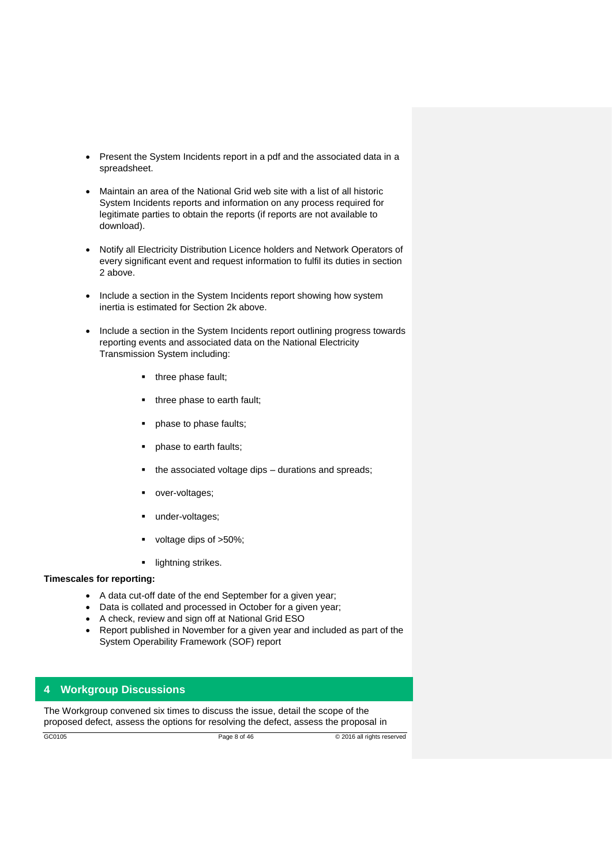- Present the System Incidents report in a pdf and the associated data in a spreadsheet.
- Maintain an area of the National Grid web site with a list of all historic System Incidents reports and information on any process required for legitimate parties to obtain the reports (if reports are not available to download).
- Notify all Electricity Distribution Licence holders and Network Operators of every significant event and request information to fulfil its duties in section 2 above.
- Include a section in the System Incidents report showing how system inertia is estimated for Section 2k above.
- Include a section in the System Incidents report outlining progress towards reporting events and associated data on the National Electricity Transmission System including:
	- three phase fault;
	- three phase to earth fault;
	- phase to phase faults;
	- phase to earth faults:
	- the associated voltage dips durations and spreads:
	- over-voltages;
	- under-voltages;
	- voltage dips of >50%;
	- **·** lightning strikes.

#### **Timescales for reporting:**

- A data cut-off date of the end September for a given year;
- Data is collated and processed in October for a given year;
- A check, review and sign off at National Grid ESO
- Report published in November for a given year and included as part of the System Operability Framework (SOF) report

## **4 Workgroup Discussions**

The Workgroup convened six times to discuss the issue, detail the scope of the proposed defect, assess the options for resolving the defect, assess the proposal in

GC0105 Page 8 of 46 © 2016 all rights reserved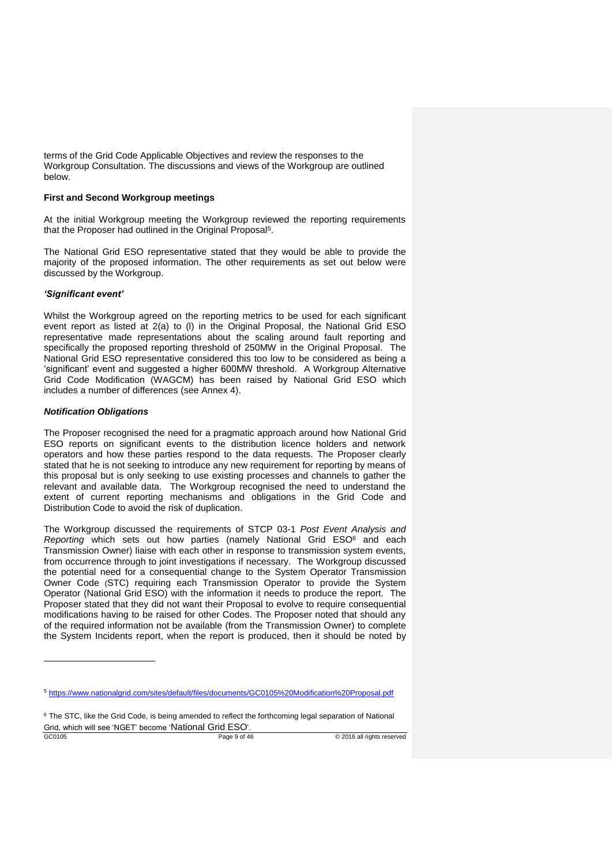terms of the Grid Code Applicable Objectives and review the responses to the Workgroup Consultation. The discussions and views of the Workgroup are outlined below.

#### **First and Second Workgroup meetings**

At the initial Workgroup meeting the Workgroup reviewed the reporting requirements that the Proposer had outlined in the Original Proposal<sup>5</sup>.

The National Grid ESO representative stated that they would be able to provide the majority of the proposed information. The other requirements as set out below were discussed by the Workgroup.

#### *'Significant event'*

Whilst the Workgroup agreed on the reporting metrics to be used for each significant event report as listed at 2(a) to (l) in the Original Proposal, the National Grid ESO representative made representations about the scaling around fault reporting and specifically the proposed reporting threshold of 250MW in the Original Proposal. The National Grid ESO representative considered this too low to be considered as being a 'significant' event and suggested a higher 600MW threshold. A Workgroup Alternative Grid Code Modification (WAGCM) has been raised by National Grid ESO which includes a number of differences (see Annex 4).

#### *Notification Obligations*

The Proposer recognised the need for a pragmatic approach around how National Grid ESO reports on significant events to the distribution licence holders and network operators and how these parties respond to the data requests. The Proposer clearly stated that he is not seeking to introduce any new requirement for reporting by means of this proposal but is only seeking to use existing processes and channels to gather the relevant and available data. The Workgroup recognised the need to understand the extent of current reporting mechanisms and obligations in the Grid Code and Distribution Code to avoid the risk of duplication.

The Workgroup discussed the requirements of STCP 03-1 *Post Event Analysis and Reporting* which sets out how parties (namely National Grid ESO<sup>6</sup> and each Transmission Owner) liaise with each other in response to transmission system events, from occurrence through to joint investigations if necessary. The Workgroup discussed the potential need for a consequential change to the System Operator Transmission Owner Code (STC) requiring each Transmission Operator to provide the System Operator (National Grid ESO) with the information it needs to produce the report. The Proposer stated that they did not want their Proposal to evolve to require consequential modifications having to be raised for other Codes. The Proposer noted that should any of the required information not be available (from the Transmission Owner) to complete the System Incidents report, when the report is produced, then it should be noted by

-

<sup>5</sup> <https://www.nationalgrid.com/sites/default/files/documents/GC0105%20Modification%20Proposal.pdf>

<sup>&</sup>lt;sup>6</sup> The STC, like the Grid Code, is being amended to reflect the forthcoming legal separation of National Grid, which will see 'NGET' become 'National Grid ESO'.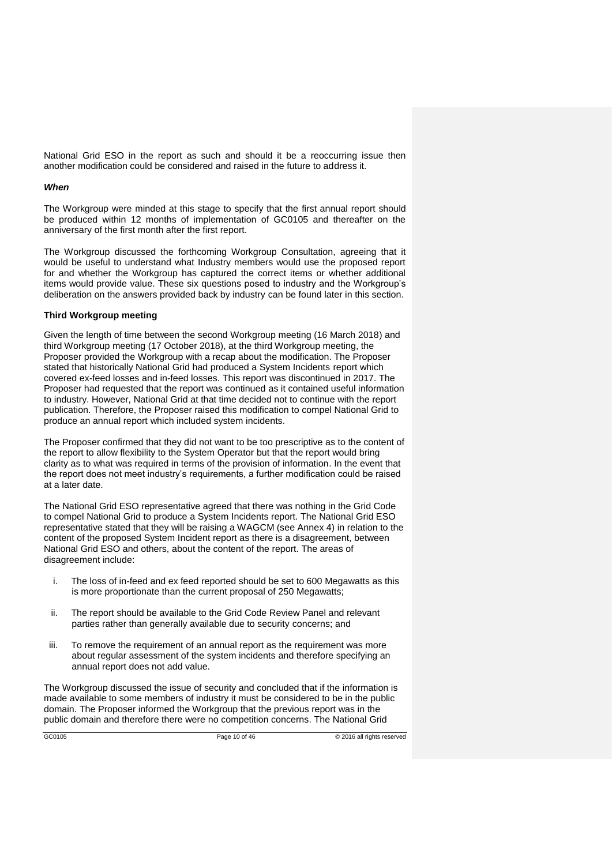National Grid ESO in the report as such and should it be a reoccurring issue then another modification could be considered and raised in the future to address it.

#### *When*

The Workgroup were minded at this stage to specify that the first annual report should be produced within 12 months of implementation of GC0105 and thereafter on the anniversary of the first month after the first report.

The Workgroup discussed the forthcoming Workgroup Consultation, agreeing that it would be useful to understand what Industry members would use the proposed report for and whether the Workgroup has captured the correct items or whether additional items would provide value. These six questions posed to industry and the Workgroup's deliberation on the answers provided back by industry can be found later in this section.

#### **Third Workgroup meeting**

Given the length of time between the second Workgroup meeting (16 March 2018) and third Workgroup meeting (17 October 2018), at the third Workgroup meeting, the Proposer provided the Workgroup with a recap about the modification. The Proposer stated that historically National Grid had produced a System Incidents report which covered ex-feed losses and in-feed losses. This report was discontinued in 2017. The Proposer had requested that the report was continued as it contained useful information to industry. However, National Grid at that time decided not to continue with the report publication. Therefore, the Proposer raised this modification to compel National Grid to produce an annual report which included system incidents.

The Proposer confirmed that they did not want to be too prescriptive as to the content of the report to allow flexibility to the System Operator but that the report would bring clarity as to what was required in terms of the provision of information. In the event that the report does not meet industry's requirements, a further modification could be raised at a later date.

The National Grid ESO representative agreed that there was nothing in the Grid Code to compel National Grid to produce a System Incidents report. The National Grid ESO representative stated that they will be raising a WAGCM (see Annex 4) in relation to the content of the proposed System Incident report as there is a disagreement, between National Grid ESO and others, about the content of the report. The areas of disagreement include:

- i. The loss of in-feed and ex feed reported should be set to 600 Megawatts as this is more proportionate than the current proposal of 250 Megawatts;
- ii. The report should be available to the Grid Code Review Panel and relevant parties rather than generally available due to security concerns; and
- iii. To remove the requirement of an annual report as the requirement was more about regular assessment of the system incidents and therefore specifying an annual report does not add value.

The Workgroup discussed the issue of security and concluded that if the information is made available to some members of industry it must be considered to be in the public domain. The Proposer informed the Workgroup that the previous report was in the public domain and therefore there were no competition concerns. The National Grid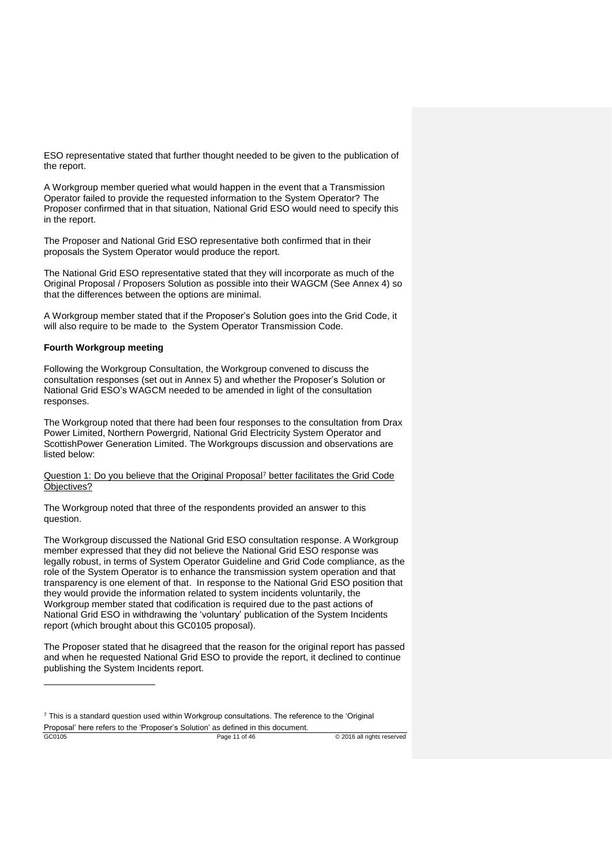ESO representative stated that further thought needed to be given to the publication of the report.

A Workgroup member queried what would happen in the event that a Transmission Operator failed to provide the requested information to the System Operator? The Proposer confirmed that in that situation, National Grid ESO would need to specify this in the report.

The Proposer and National Grid ESO representative both confirmed that in their proposals the System Operator would produce the report.

The National Grid ESO representative stated that they will incorporate as much of the Original Proposal / Proposers Solution as possible into their WAGCM (See Annex 4) so that the differences between the options are minimal.

A Workgroup member stated that if the Proposer's Solution goes into the Grid Code, it will also require to be made to the System Operator Transmission Code.

#### **Fourth Workgroup meeting**

-

Following the Workgroup Consultation, the Workgroup convened to discuss the consultation responses (set out in Annex 5) and whether the Proposer's Solution or National Grid ESO's WAGCM needed to be amended in light of the consultation responses.

The Workgroup noted that there had been four responses to the consultation from Drax Power Limited, Northern Powergrid, National Grid Electricity System Operator and ScottishPower Generation Limited. The Workgroups discussion and observations are listed below:

Question 1: Do you believe that the Original Proposal<sup>7</sup> better facilitates the Grid Code Objectives?

The Workgroup noted that three of the respondents provided an answer to this question.

The Workgroup discussed the National Grid ESO consultation response. A Workgroup member expressed that they did not believe the National Grid ESO response was legally robust, in terms of System Operator Guideline and Grid Code compliance, as the role of the System Operator is to enhance the transmission system operation and that transparency is one element of that. In response to the National Grid ESO position that they would provide the information related to system incidents voluntarily, the Workgroup member stated that codification is required due to the past actions of National Grid ESO in withdrawing the 'voluntary' publication of the System Incidents report (which brought about this GC0105 proposal).

The Proposer stated that he disagreed that the reason for the original report has passed and when he requested National Grid ESO to provide the report, it declined to continue publishing the System Incidents report.

GC0105 Page 11 of 46 © 2016 all rights reserved

<sup>7</sup> This is a standard question used within Workgroup consultations. The reference to the 'Original Proposal' here refers to the 'Proposer's Solution' as defined in this document.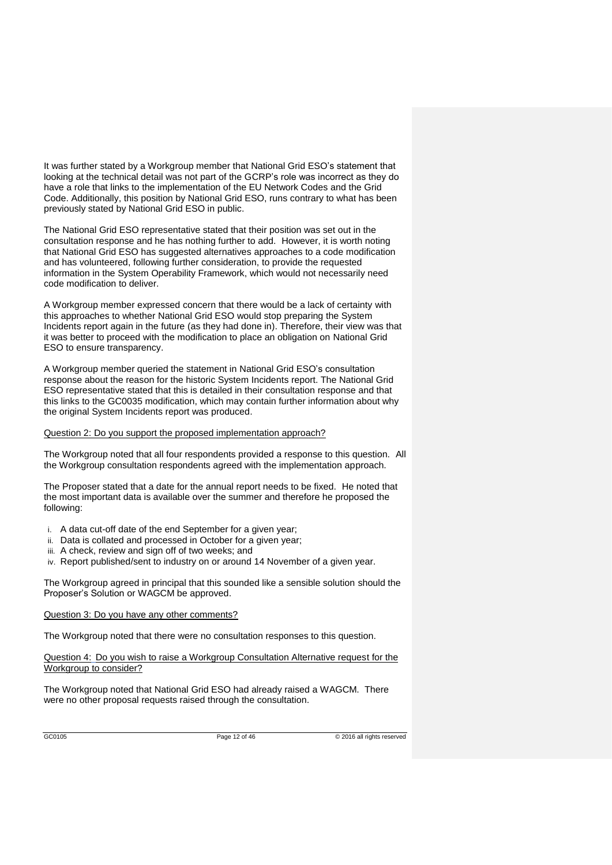It was further stated by a Workgroup member that National Grid ESO's statement that looking at the technical detail was not part of the GCRP's role was incorrect as they do have a role that links to the implementation of the EU Network Codes and the Grid Code. Additionally, this position by National Grid ESO, runs contrary to what has been previously stated by National Grid ESO in public.

The National Grid ESO representative stated that their position was set out in the consultation response and he has nothing further to add. However, it is worth noting that National Grid ESO has suggested alternatives approaches to a code modification and has volunteered, following further consideration, to provide the requested information in the System Operability Framework, which would not necessarily need code modification to deliver.

A Workgroup member expressed concern that there would be a lack of certainty with this approaches to whether National Grid ESO would stop preparing the System Incidents report again in the future (as they had done in). Therefore, their view was that it was better to proceed with the modification to place an obligation on National Grid ESO to ensure transparency.

A Workgroup member queried the statement in National Grid ESO's consultation response about the reason for the historic System Incidents report. The National Grid ESO representative stated that this is detailed in their consultation response and that this links to the GC0035 modification, which may contain further information about why the original System Incidents report was produced.

#### Question 2: Do you support the proposed implementation approach?

The Workgroup noted that all four respondents provided a response to this question. All the Workgroup consultation respondents agreed with the implementation approach.

The Proposer stated that a date for the annual report needs to be fixed. He noted that the most important data is available over the summer and therefore he proposed the following:

- i. A data cut-off date of the end September for a given year;
- ii. Data is collated and processed in October for a given year;
- iii. A check, review and sign off of two weeks; and
- iv. Report published/sent to industry on or around 14 November of a given year.

The Workgroup agreed in principal that this sounded like a sensible solution should the Proposer's Solution or WAGCM be approved.

#### Question 3: Do you have any other comments?

The Workgroup noted that there were no consultation responses to this question.

Question 4: Do you wish to raise a Workgroup Consultation Alternative request for the Workgroup to consider?

The Workgroup noted that National Grid ESO had already raised a WAGCM. There were no other proposal requests raised through the consultation.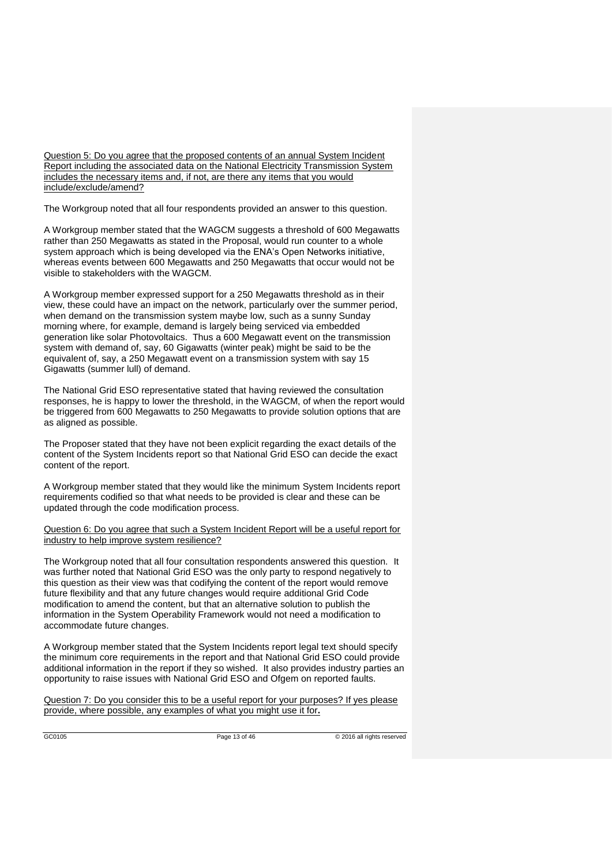Question 5: Do you agree that the proposed contents of an annual System Incident Report including the associated data on the National Electricity Transmission System includes the necessary items and, if not, are there any items that you would include/exclude/amend?

The Workgroup noted that all four respondents provided an answer to this question.

A Workgroup member stated that the WAGCM suggests a threshold of 600 Megawatts rather than 250 Megawatts as stated in the Proposal, would run counter to a whole system approach which is being developed via the ENA's Open Networks initiative, whereas events between 600 Megawatts and 250 Megawatts that occur would not be visible to stakeholders with the WAGCM.

A Workgroup member expressed support for a 250 Megawatts threshold as in their view, these could have an impact on the network, particularly over the summer period, when demand on the transmission system maybe low, such as a sunny Sunday morning where, for example, demand is largely being serviced via embedded generation like solar Photovoltaics. Thus a 600 Megawatt event on the transmission system with demand of, say, 60 Gigawatts (winter peak) might be said to be the equivalent of, say, a 250 Megawatt event on a transmission system with say 15 Gigawatts (summer lull) of demand.

The National Grid ESO representative stated that having reviewed the consultation responses, he is happy to lower the threshold, in the WAGCM, of when the report would be triggered from 600 Megawatts to 250 Megawatts to provide solution options that are as aligned as possible.

The Proposer stated that they have not been explicit regarding the exact details of the content of the System Incidents report so that National Grid ESO can decide the exact content of the report.

A Workgroup member stated that they would like the minimum System Incidents report requirements codified so that what needs to be provided is clear and these can be updated through the code modification process.

Question 6: Do you agree that such a System Incident Report will be a useful report for industry to help improve system resilience?

The Workgroup noted that all four consultation respondents answered this question. It was further noted that National Grid ESO was the only party to respond negatively to this question as their view was that codifying the content of the report would remove future flexibility and that any future changes would require additional Grid Code modification to amend the content, but that an alternative solution to publish the information in the System Operability Framework would not need a modification to accommodate future changes.

A Workgroup member stated that the System Incidents report legal text should specify the minimum core requirements in the report and that National Grid ESO could provide additional information in the report if they so wished. It also provides industry parties an opportunity to raise issues with National Grid ESO and Ofgem on reported faults.

Question 7: Do you consider this to be a useful report for your purposes? If yes please provide, where possible, any examples of what you might use it for**.**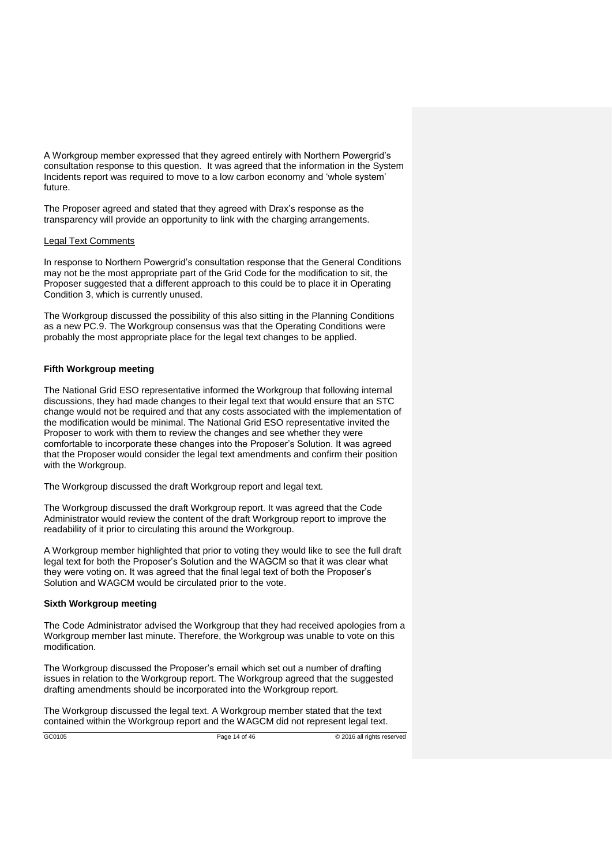A Workgroup member expressed that they agreed entirely with Northern Powergrid's consultation response to this question. It was agreed that the information in the System Incidents report was required to move to a low carbon economy and 'whole system' future.

The Proposer agreed and stated that they agreed with Drax's response as the transparency will provide an opportunity to link with the charging arrangements.

#### Legal Text Comments

In response to Northern Powergrid's consultation response that the General Conditions may not be the most appropriate part of the Grid Code for the modification to sit, the Proposer suggested that a different approach to this could be to place it in Operating Condition 3, which is currently unused.

The Workgroup discussed the possibility of this also sitting in the Planning Conditions as a new PC.9. The Workgroup consensus was that the Operating Conditions were probably the most appropriate place for the legal text changes to be applied.

#### **Fifth Workgroup meeting**

The National Grid ESO representative informed the Workgroup that following internal discussions, they had made changes to their legal text that would ensure that an STC change would not be required and that any costs associated with the implementation of the modification would be minimal. The National Grid ESO representative invited the Proposer to work with them to review the changes and see whether they were comfortable to incorporate these changes into the Proposer's Solution. It was agreed that the Proposer would consider the legal text amendments and confirm their position with the Workgroup.

The Workgroup discussed the draft Workgroup report and legal text.

The Workgroup discussed the draft Workgroup report. It was agreed that the Code Administrator would review the content of the draft Workgroup report to improve the readability of it prior to circulating this around the Workgroup.

A Workgroup member highlighted that prior to voting they would like to see the full draft legal text for both the Proposer's Solution and the WAGCM so that it was clear what they were voting on. It was agreed that the final legal text of both the Proposer's Solution and WAGCM would be circulated prior to the vote.

#### **Sixth Workgroup meeting**

The Code Administrator advised the Workgroup that they had received apologies from a Workgroup member last minute. Therefore, the Workgroup was unable to vote on this modification.

The Workgroup discussed the Proposer's email which set out a number of drafting issues in relation to the Workgroup report. The Workgroup agreed that the suggested drafting amendments should be incorporated into the Workgroup report.

The Workgroup discussed the legal text. A Workgroup member stated that the text contained within the Workgroup report and the WAGCM did not represent legal text.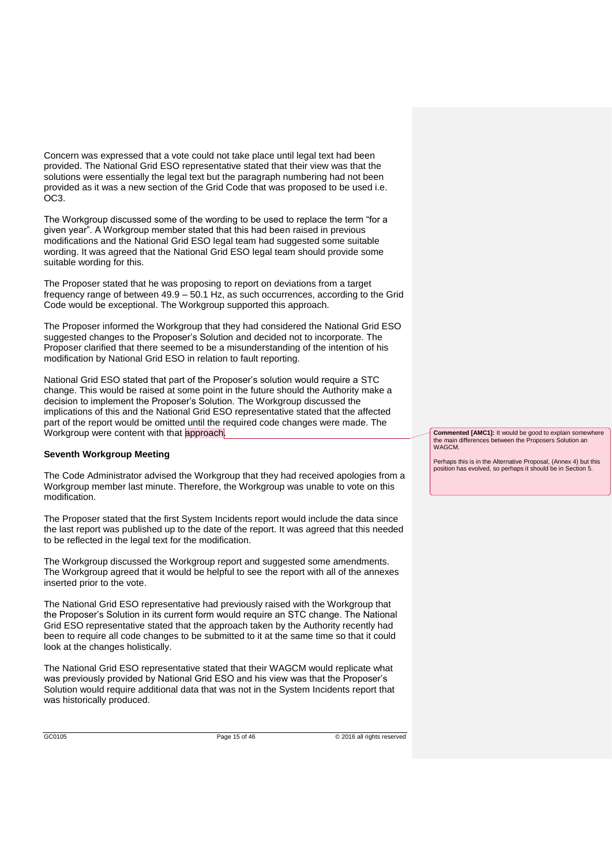Concern was expressed that a vote could not take place until legal text had been provided. The National Grid ESO representative stated that their view was that the solutions were essentially the legal text but the paragraph numbering had not been provided as it was a new section of the Grid Code that was proposed to be used i.e. OC3.

The Workgroup discussed some of the wording to be used to replace the term "for a given year". A Workgroup member stated that this had been raised in previous modifications and the National Grid ESO legal team had suggested some suitable wording. It was agreed that the National Grid ESO legal team should provide some suitable wording for this.

The Proposer stated that he was proposing to report on deviations from a target frequency range of between 49.9 – 50.1 Hz, as such occurrences, according to the Grid Code would be exceptional. The Workgroup supported this approach.

The Proposer informed the Workgroup that they had considered the National Grid ESO suggested changes to the Proposer's Solution and decided not to incorporate. The Proposer clarified that there seemed to be a misunderstanding of the intention of his modification by National Grid ESO in relation to fault reporting.

National Grid ESO stated that part of the Proposer's solution would require a STC change. This would be raised at some point in the future should the Authority make a decision to implement the Proposer's Solution. The Workgroup discussed the implications of this and the National Grid ESO representative stated that the affected part of the report would be omitted until the required code changes were made. The Workgroup were content with that approach.

#### **Seventh Workgroup Meeting**

The Code Administrator advised the Workgroup that they had received apologies from a Workgroup member last minute. Therefore, the Workgroup was unable to vote on this modification.

The Proposer stated that the first System Incidents report would include the data since the last report was published up to the date of the report. It was agreed that this needed to be reflected in the legal text for the modification.

The Workgroup discussed the Workgroup report and suggested some amendments. The Workgroup agreed that it would be helpful to see the report with all of the annexes inserted prior to the vote.

The National Grid ESO representative had previously raised with the Workgroup that the Proposer's Solution in its current form would require an STC change. The National Grid ESO representative stated that the approach taken by the Authority recently had been to require all code changes to be submitted to it at the same time so that it could look at the changes holistically.

The National Grid ESO representative stated that their WAGCM would replicate what was previously provided by National Grid ESO and his view was that the Proposer's Solution would require additional data that was not in the System Incidents report that was historically produced.

**Commented [AMC1]:** It would be good to explain somewhere the main differences between the Proposers Solution an WAGC<sub>M</sub>

Perhaps this is in the Alternative Proposal, (Annex 4) but this position has evolved, so perhaps it should be in Section 5.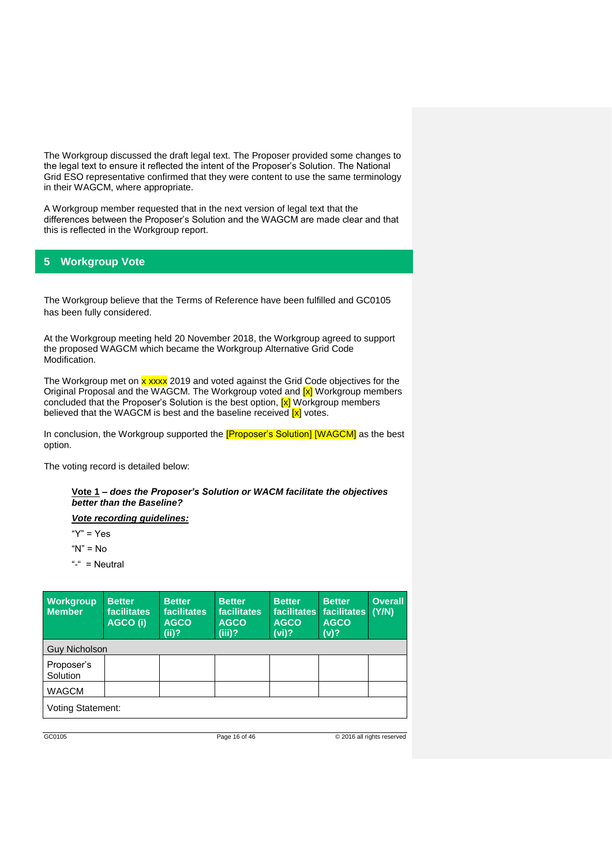The Workgroup discussed the draft legal text. The Proposer provided some changes to the legal text to ensure it reflected the intent of the Proposer's Solution. The National Grid ESO representative confirmed that they were content to use the same terminology in their WAGCM, where appropriate.

A Workgroup member requested that in the next version of legal text that the differences between the Proposer's Solution and the WAGCM are made clear and that this is reflected in the Workgroup report.

# **5 Workgroup Vote**

The Workgroup believe that the Terms of Reference have been fulfilled and GC0105 has been fully considered.

At the Workgroup meeting held 20 November 2018, the Workgroup agreed to support the proposed WAGCM which became the Workgroup Alternative Grid Code Modification.

The Workgroup met on x xxxx 2019 and voted against the Grid Code objectives for the Original Proposal and the WAGCM. The Workgroup voted and [x] Workgroup members concluded that the Proposer's Solution is the best option,  $\boxed{x}$  Workgroup members believed that the WAGCM is best and the baseline received **[x]** votes.

In conclusion, the Workgroup supported the **[Proposer's Solution] [WAGCM]** as the best option.

The voting record is detailed below:

#### **Vote 1** *– does the Proposer's Solution or WACM facilitate the objectives better than the Baseline?*

*Vote recording guidelines:*

" $Y" = Yes$ 

" $N" = N<sub>0</sub>$ 

"-" = Neutral

| <b>Workgroup</b><br><b>Member</b> | <b>Better</b><br><b>facilitates</b><br>AGCO (i) | <b>Better</b><br><b>facilitates</b><br><b>AGCO</b><br>$(iii)$ ? | <b>Better</b><br>facilitates<br><b>AGCO</b><br>$(iii)$ ? | <b>Better</b><br><b>facilitates</b><br><b>AGCO</b><br>(vi)? | <b>Better</b><br>facilitates<br><b>AGCO</b><br>(v)? | <b>Overall</b><br>(Y/N) |  |
|-----------------------------------|-------------------------------------------------|-----------------------------------------------------------------|----------------------------------------------------------|-------------------------------------------------------------|-----------------------------------------------------|-------------------------|--|
| <b>Guy Nicholson</b>              |                                                 |                                                                 |                                                          |                                                             |                                                     |                         |  |
| Proposer's<br>Solution            |                                                 |                                                                 |                                                          |                                                             |                                                     |                         |  |
| <b>WAGCM</b>                      |                                                 |                                                                 |                                                          |                                                             |                                                     |                         |  |
| <b>Voting Statement:</b>          |                                                 |                                                                 |                                                          |                                                             |                                                     |                         |  |

GC0105 Page 16 of 46 © 2016 all rights reserved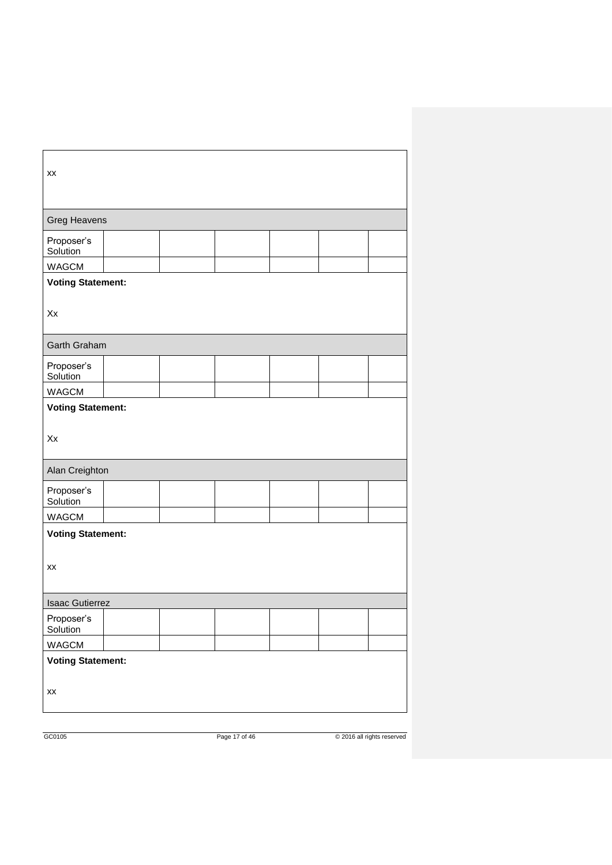| XX                       |  |  |  |  |  |  |
|--------------------------|--|--|--|--|--|--|
| <b>Greg Heavens</b>      |  |  |  |  |  |  |
| Proposer's<br>Solution   |  |  |  |  |  |  |
| <b>WAGCM</b>             |  |  |  |  |  |  |
| <b>Voting Statement:</b> |  |  |  |  |  |  |
| Xx                       |  |  |  |  |  |  |
| Garth Graham             |  |  |  |  |  |  |
| Proposer's<br>Solution   |  |  |  |  |  |  |
| <b>WAGCM</b>             |  |  |  |  |  |  |
| <b>Voting Statement:</b> |  |  |  |  |  |  |
| Xx                       |  |  |  |  |  |  |
| Alan Creighton           |  |  |  |  |  |  |
| Proposer's<br>Solution   |  |  |  |  |  |  |
| WAGCM                    |  |  |  |  |  |  |
| <b>Voting Statement:</b> |  |  |  |  |  |  |
| XX                       |  |  |  |  |  |  |
| <b>Isaac Gutierrez</b>   |  |  |  |  |  |  |
| Proposer's<br>Solution   |  |  |  |  |  |  |
| WAGCM                    |  |  |  |  |  |  |
| <b>Voting Statement:</b> |  |  |  |  |  |  |
| XX                       |  |  |  |  |  |  |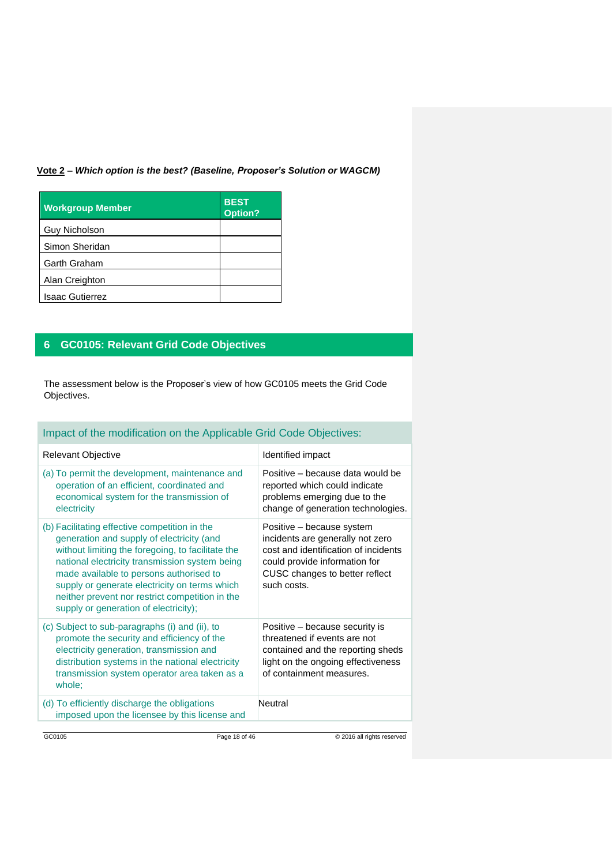# **Vote 2 –** *Which option is the best? (Baseline, Proposer's Solution or WAGCM)*

| <b>Workgroup Member</b> | <b>BEST</b><br>Option? |
|-------------------------|------------------------|
| <b>Guy Nicholson</b>    |                        |
| Simon Sheridan          |                        |
| <b>Garth Graham</b>     |                        |
| Alan Creighton          |                        |
| <b>Isaac Gutierrez</b>  |                        |

# **6 GC0105: Relevant Grid Code Objectives**

The assessment below is the Proposer's view of how GC0105 meets the Grid Code Objectives.

| Impact of the modification on the Applicable Grid Code Objectives:                                                                                                                                                                                                                                                                                                                        |                                                                                                                                                                                         |
|-------------------------------------------------------------------------------------------------------------------------------------------------------------------------------------------------------------------------------------------------------------------------------------------------------------------------------------------------------------------------------------------|-----------------------------------------------------------------------------------------------------------------------------------------------------------------------------------------|
| <b>Relevant Objective</b>                                                                                                                                                                                                                                                                                                                                                                 | Identified impact                                                                                                                                                                       |
| (a) To permit the development, maintenance and<br>operation of an efficient, coordinated and<br>economical system for the transmission of<br>electricity                                                                                                                                                                                                                                  | Positive – because data would be<br>reported which could indicate<br>problems emerging due to the<br>change of generation technologies.                                                 |
| (b) Facilitating effective competition in the<br>generation and supply of electricity (and<br>without limiting the foregoing, to facilitate the<br>national electricity transmission system being<br>made available to persons authorised to<br>supply or generate electricity on terms which<br>neither prevent nor restrict competition in the<br>supply or generation of electricity); | Positive - because system<br>incidents are generally not zero<br>cost and identification of incidents<br>could provide information for<br>CUSC changes to better reflect<br>such costs. |
| (c) Subject to sub-paragraphs (i) and (ii), to<br>promote the security and efficiency of the<br>electricity generation, transmission and<br>distribution systems in the national electricity<br>transmission system operator area taken as a<br>whole:                                                                                                                                    | Positive - because security is<br>threatened if events are not<br>contained and the reporting sheds<br>light on the ongoing effectiveness<br>of containment measures.                   |
| (d) To efficiently discharge the obligations<br>imposed upon the licensee by this license and                                                                                                                                                                                                                                                                                             | Neutral                                                                                                                                                                                 |
| GC0105                                                                                                                                                                                                                                                                                                                                                                                    | Page 18 of 46<br>C 2016 all rights reserved                                                                                                                                             |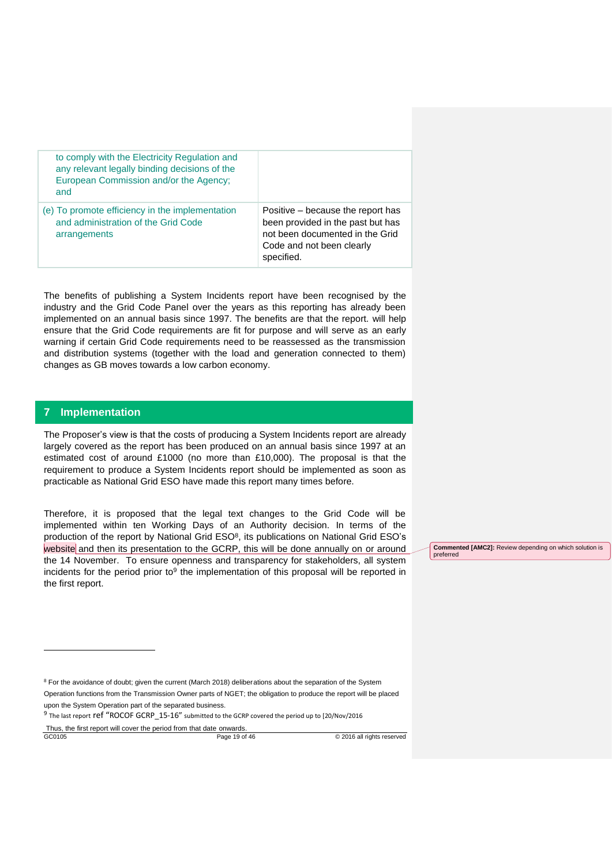| to comply with the Electricity Regulation and<br>any relevant legally binding decisions of the<br>European Commission and/or the Agency;<br>and |                                                                                                                                                      |
|-------------------------------------------------------------------------------------------------------------------------------------------------|------------------------------------------------------------------------------------------------------------------------------------------------------|
| (e) To promote efficiency in the implementation<br>and administration of the Grid Code<br>arrangements                                          | Positive – because the report has<br>been provided in the past but has<br>not been documented in the Grid<br>Code and not been clearly<br>specified. |

The benefits of publishing a System Incidents report have been recognised by the industry and the Grid Code Panel over the years as this reporting has already been implemented on an annual basis since 1997. The benefits are that the report. will help ensure that the Grid Code requirements are fit for purpose and will serve as an early warning if certain Grid Code requirements need to be reassessed as the transmission and distribution systems (together with the load and generation connected to them) changes as GB moves towards a low carbon economy.

#### **7 Implementation**

-

The Proposer's view is that the costs of producing a System Incidents report are already largely covered as the report has been produced on an annual basis since 1997 at an estimated cost of around £1000 (no more than £10,000). The proposal is that the requirement to produce a System Incidents report should be implemented as soon as practicable as National Grid ESO have made this report many times before.

Therefore, it is proposed that the legal text changes to the Grid Code will be implemented within ten Working Days of an Authority decision. In terms of the production of the report by National Grid  $ESO<sup>8</sup>$ , its publications on National Grid ESO's website and then its presentation to the GCRP, this will be done annually on or around the 14 November. To ensure openness and transparency for stakeholders, all system incidents for the period prior to<sup>9</sup> the implementation of this proposal will be reported in the first report.

**Commented [AMC2]:** Review depending on which solution is preferred

<sup>8</sup> For the avoidance of doubt; given the current (March 2018) deliberations about the separation of the System

Operation functions from the Transmission Owner parts of NGET; the obligation to produce the report will be placed upon the System Operation part of the separated business.

 $9$  The last report **ref** "ROCOF GCRP\_15-16" submitted to the GCRP covered the period up to [20/Nov/2016

GC0105 Page 19 of 46 © 2016 all rights reserved Thus, the first report will cover the period from that date onwards.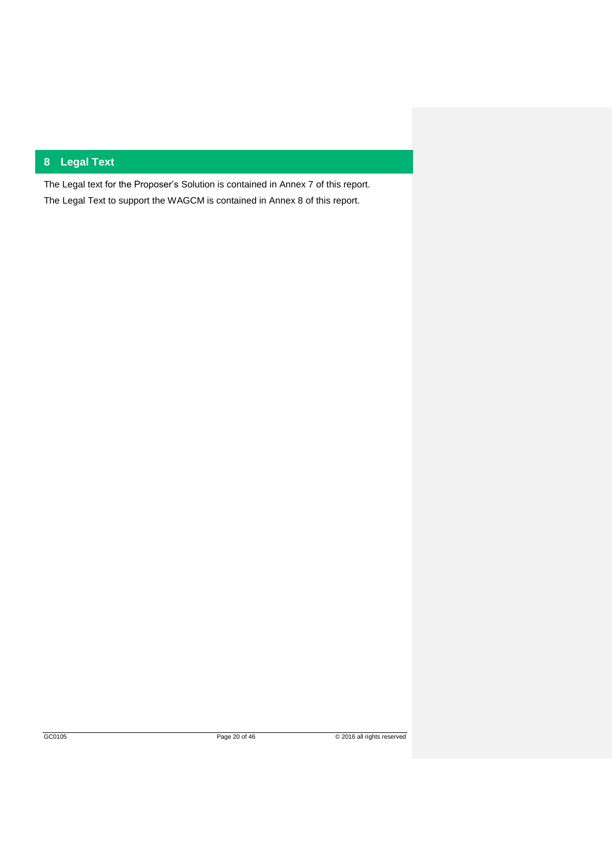# **8 Legal Text**

The Legal text for the Proposer's Solution is contained in Annex 7 of this report. The Legal Text to support the WAGCM is contained in Annex 8 of this report.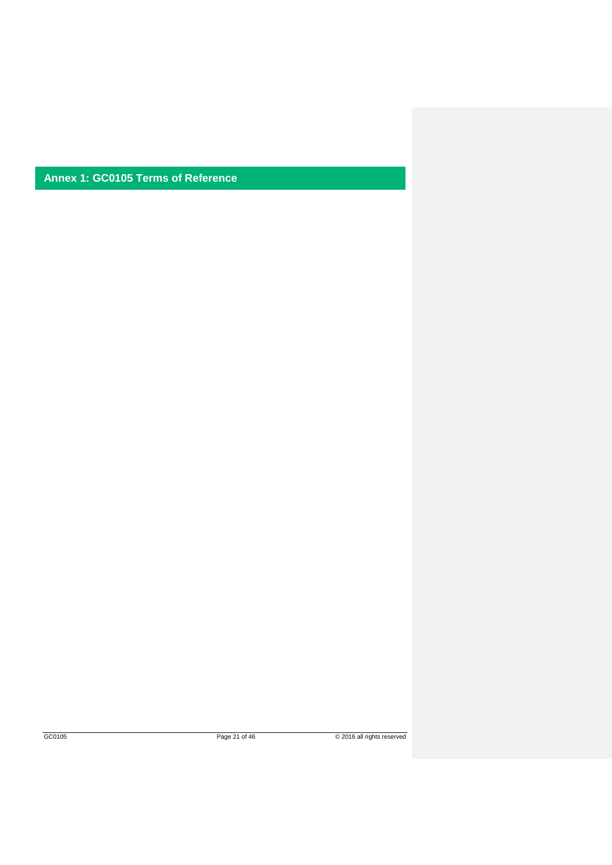**Annex 1: GC0105 Terms of Reference**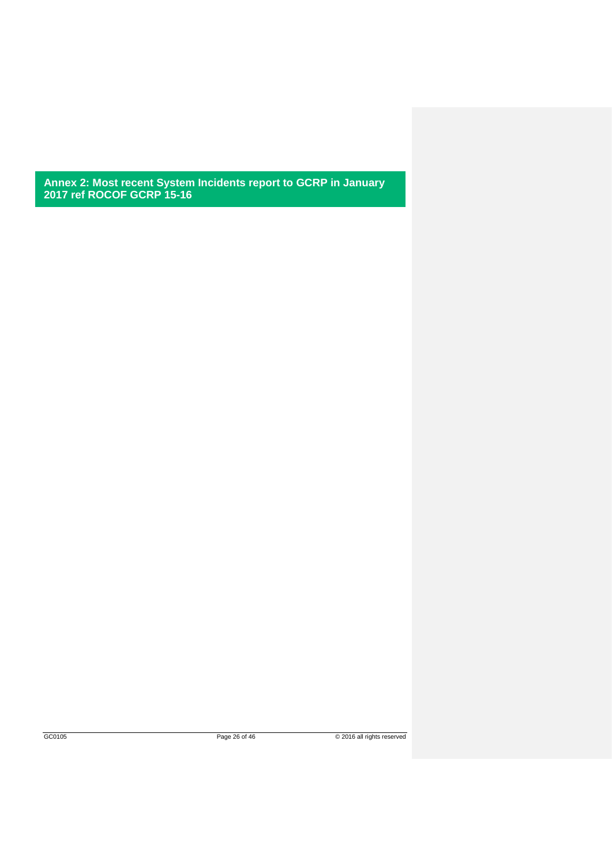**Annex 2: Most recent System Incidents report to GCRP in January 2017 ref ROCOF GCRP 15-16**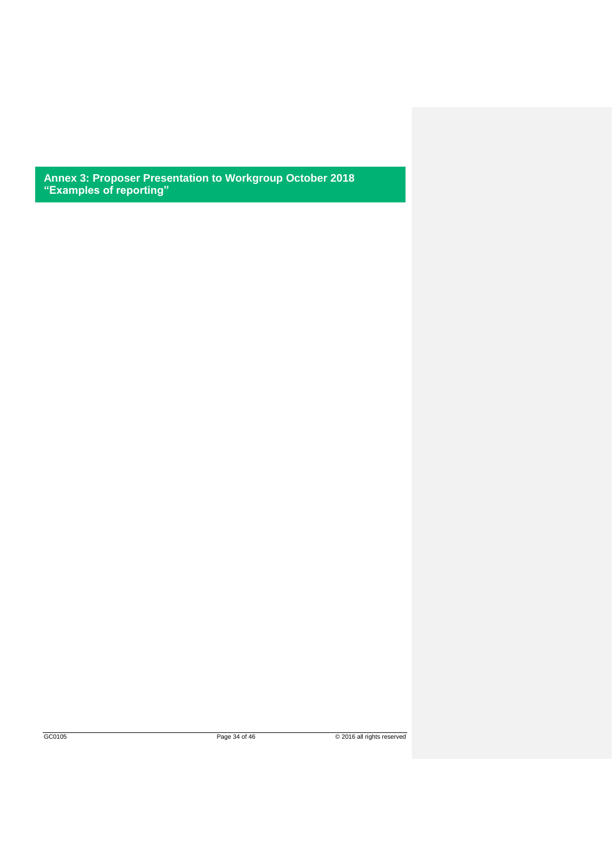**Annex 3: Proposer Presentation to Workgroup October 2018 "Examples of reporting"**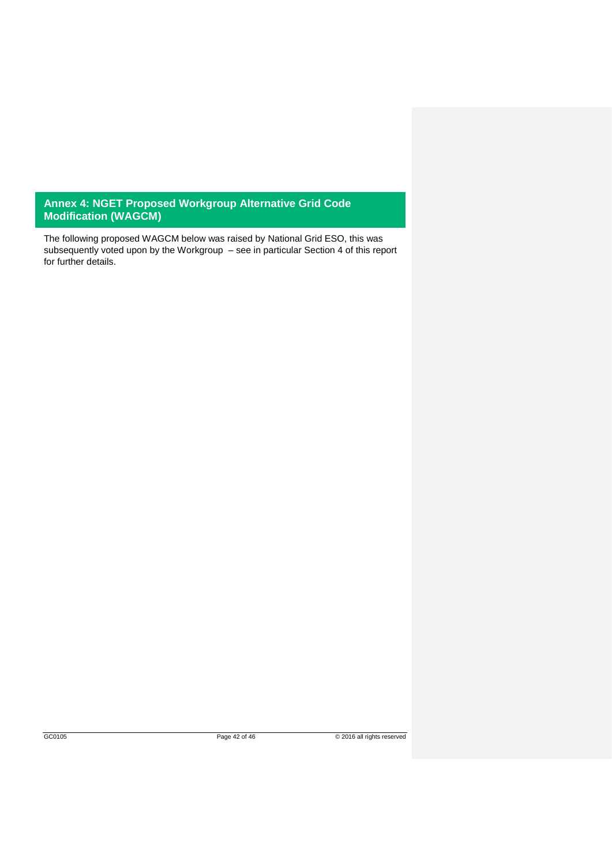## **Annex 4: NGET Proposed Workgroup Alternative Grid Code Modification (WAGCM)**

The following proposed WAGCM below was raised by National Grid ESO, this was subsequently voted upon by the Workgroup – see in particular Section 4 of this report for further details.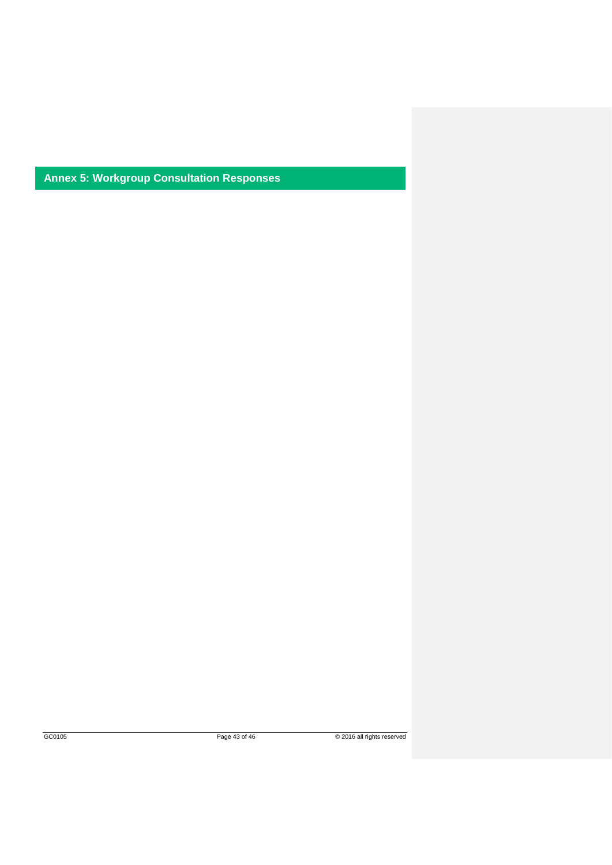**Annex 5: Workgroup Consultation Responses**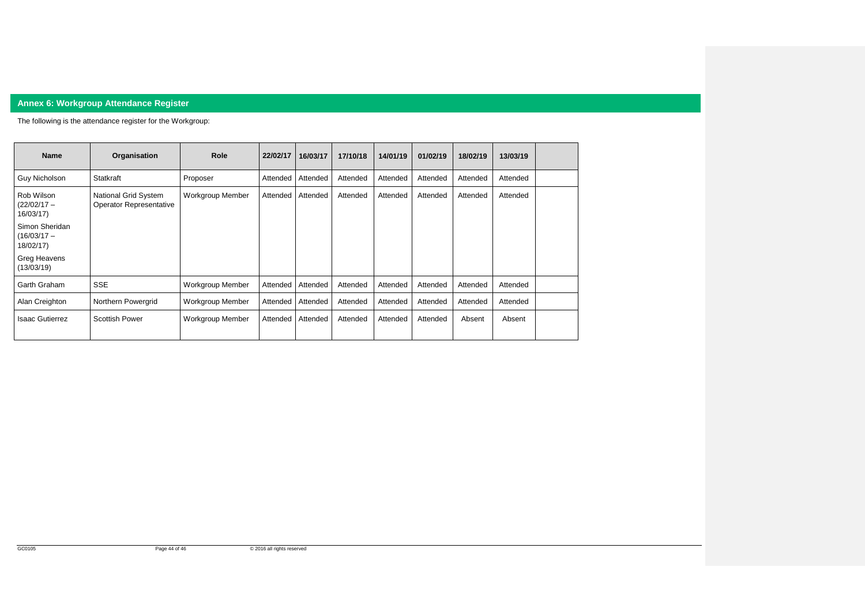

# **Annex 6: Workgroup Attendance Register**

The following is the attendance register for the Workgroup:

| <b>Name</b>                                  | Organisation                                    | <b>Role</b>             | 22/02/17 | 16/03/17 | 17/10/18 | 14/01/19 | 01/02/19 | 18/02/19 | 13/03/19 |  |
|----------------------------------------------|-------------------------------------------------|-------------------------|----------|----------|----------|----------|----------|----------|----------|--|
| <b>Guy Nicholson</b>                         | <b>Statkraft</b>                                | Proposer                | Attended | Attended | Attended | Attended | Attended | Attended | Attended |  |
| Rob Wilson<br>(22/02/17 –<br>16/03/17)       | National Grid System<br>Operator Representative | <b>Workgroup Member</b> | Attended | Attended | Attended | Attended | Attended | Attended | Attended |  |
| Simon Sheridan<br>$(16/03/17 -$<br>18/02/17) |                                                 |                         |          |          |          |          |          |          |          |  |
| Greg Heavens<br>(13/03/19)                   |                                                 |                         |          |          |          |          |          |          |          |  |
| Garth Graham                                 | <b>SSE</b>                                      | <b>Workgroup Member</b> | Attended | Attended | Attended | Attended | Attended | Attended | Attended |  |
| Alan Creighton                               | Northern Powergrid                              | <b>Workgroup Member</b> | Attended | Attended | Attended | Attended | Attended | Attended | Attended |  |
| Isaac Gutierrez                              | <b>Scottish Power</b>                           | Workgroup Member        | Attended | Attended | Attended | Attended | Attended | Absent   | Absent   |  |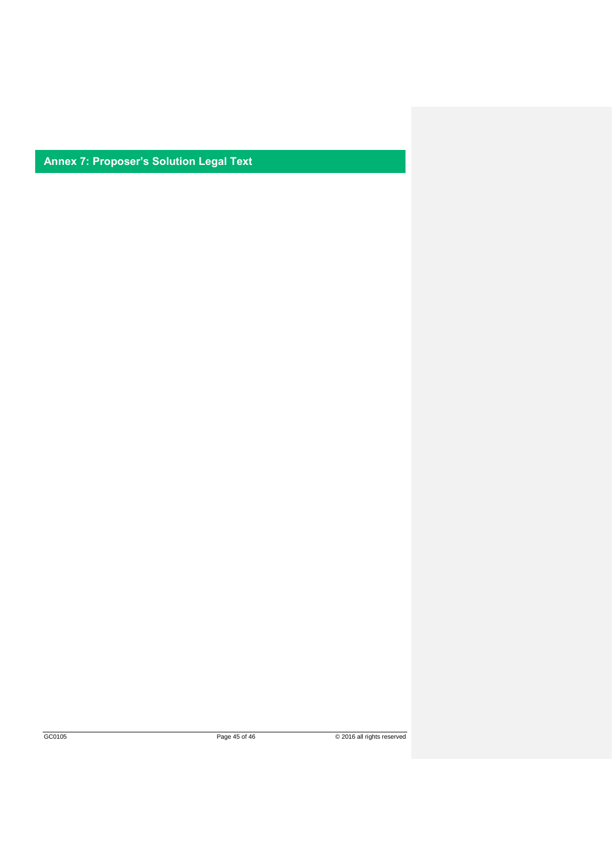**Annex 7: Proposer's Solution Legal Text**